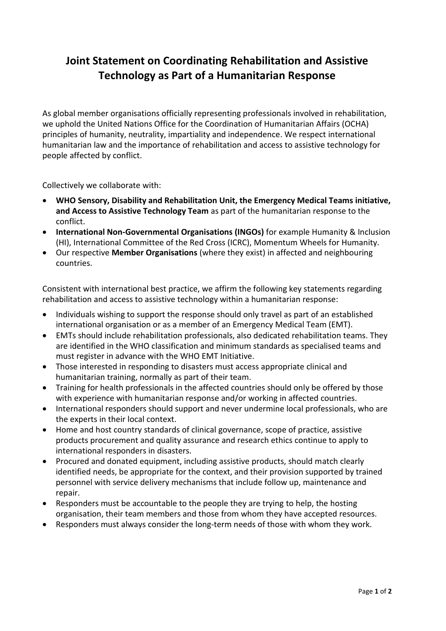## **Joint Statement on Coordinating Rehabilitation and Assistive Technology as Part of a Humanitarian Response**

As global member organisations officially representing professionals involved in rehabilitation, we uphold the United Nations Office for the Coordination of Humanitarian Affairs (OCHA) principles of [humanity, neutrality, impartiality and independence.](https://www.unocha.org/sites/unocha/files/OOM-humanitarianprinciples_eng_28Feb2017_0.pdf) We respect international humanitarian law and the importance of rehabilitation and access to assistive technology for people affected by conflict.

Collectively we collaborate with:

- **WHO Sensory, Disability and Rehabilitation Unit, the Emergency Medical Teams initiative, and Access to Assistive Technology Team** as part of the humanitarian response to the conflict.
- **International Non-Governmental Organisations (INGOs)** for example Humanity & Inclusion (HI), International Committee of the Red Cross (ICRC), Momentum Wheels for Humanity.
- Our respective **Member Organisations** (where they exist) in affected and neighbouring countries.

Consistent with international best practice, we affirm the following key statements regarding rehabilitation and access to assistive technology within a humanitarian response:

- Individuals wishing to support the response should only travel as part of an established international organisation or as a member of an Emergency Medical Team (EMT).
- EMTs should include rehabilitation professionals, also dedicated rehabilitation teams. They are identified in the WHO classification and minimum standards as specialised teams and must register in advance with the WHO EMT Initiative.
- Those interested in responding to disasters must access appropriate clinical and humanitarian training, normally as part of their team.
- Training for health professionals in the affected countries should only be offered by those with experience with humanitarian response and/or working in affected countries.
- International responders should support and never undermine local professionals, who are the experts in their local context.
- Home and host country standards of clinical governance, scope of practice, assistive products procurement and quality assurance and research ethics continue to apply to international responders in disasters.
- Procured and donated equipment, including assistive products, should match clearly identified needs, be appropriate for the context, and their provision supported by trained personnel with service delivery mechanisms that include follow up, maintenance and repair.
- Responders must be accountable to the people they are trying to help, the hosting organisation, their team members and those from whom they have accepted resources.
- Responders must always consider the long-term needs of those with whom they work.